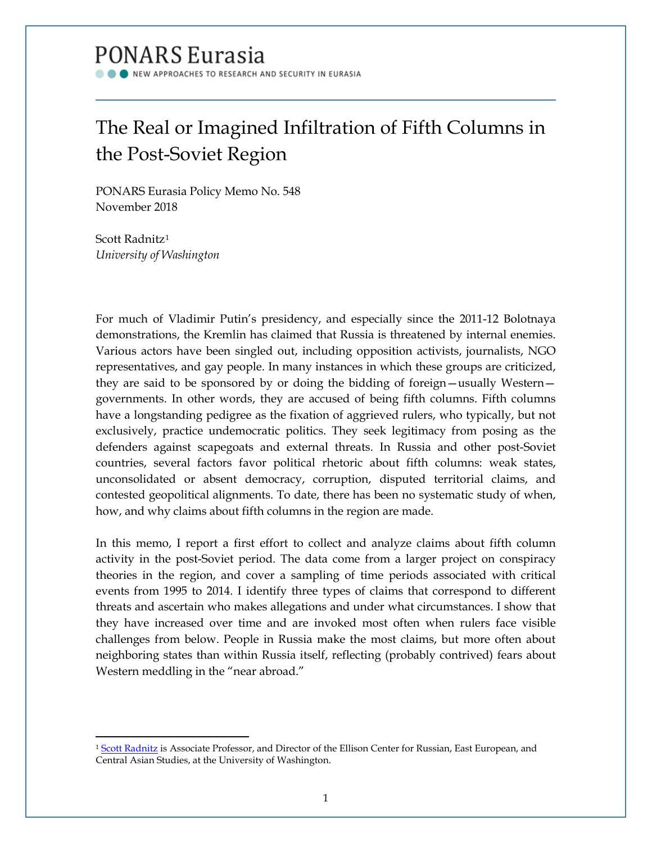# PONARS Eurasia

NEW APPROACHES TO RESEARCH AND SECURITY IN EURASIA

# The Real or Imagined Infiltration of Fifth Columns in the Post-Soviet Region

PONARS Eurasia Policy Memo No. 548 November 2018

Scott Radnitz[1](#page-0-0) *University of Washington*

l

For much of Vladimir Putin's presidency, and especially since the 2011-12 Bolotnaya demonstrations, the Kremlin has claimed that Russia is threatened by internal enemies. Various actors have been singled out, including opposition activists, journalists, NGO representatives, and gay people. In many instances in which these groups are criticized, they are said to be sponsored by or doing the bidding of foreign—usually Western governments. In other words, they are accused of being fifth columns. Fifth columns have a longstanding pedigree as the fixation of aggrieved rulers, who typically, but not exclusively, practice undemocratic politics. They seek legitimacy from posing as the defenders against scapegoats and external threats. In Russia and other post-Soviet countries, several factors favor political rhetoric about fifth columns: weak states, unconsolidated or absent democracy, corruption, disputed territorial claims, and contested geopolitical alignments. To date, there has been no systematic study of when, how, and why claims about fifth columns in the region are made.

In this memo, I report a first effort to collect and analyze claims about fifth column activity in the post-Soviet period. The data come from a larger project on conspiracy theories in the region, and cover a sampling of time periods associated with critical events from 1995 to 2014. I identify three types of claims that correspond to different threats and ascertain who makes allegations and under what circumstances. I show that they have increased over time and are invoked most often when rulers face visible challenges from below. People in Russia make the most claims, but more often about neighboring states than within Russia itself, reflecting (probably contrived) fears about Western meddling in the "near abroad."

<span id="page-0-0"></span><sup>&</sup>lt;sup>1</sup> [Scott Radnitz](http://www.ponarseurasia.org/members/scott-radnitz) is Associate Professor, and Director of the Ellison Center for Russian, East European, and Central Asian Studies, at the University of Washington.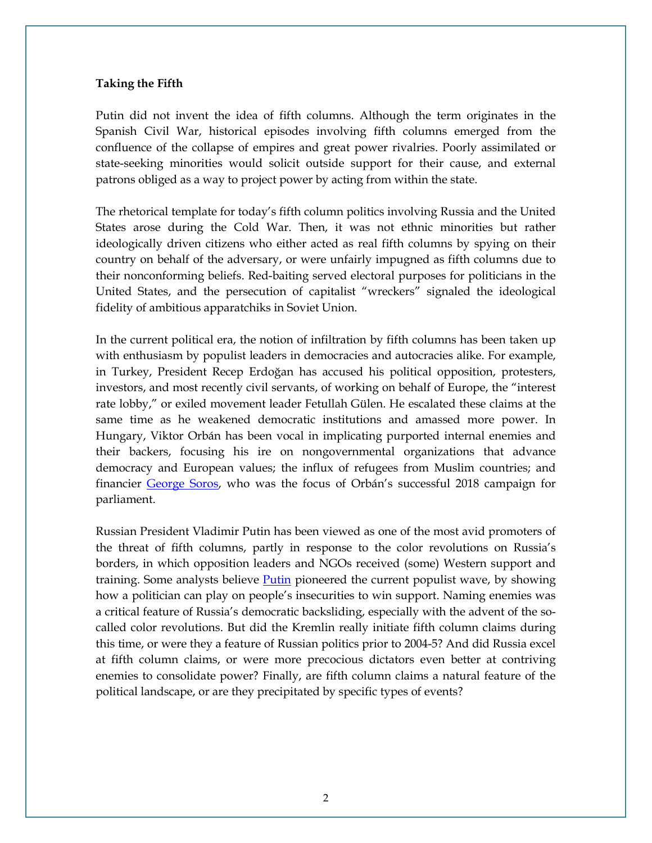### **Taking the Fifth**

Putin did not invent the idea of fifth columns. Although the term originates in the Spanish Civil War, historical episodes involving fifth columns emerged from the confluence of the collapse of empires and great power rivalries. Poorly assimilated or state-seeking minorities would solicit outside support for their cause, and external patrons obliged as a way to project power by acting from within the state.

The rhetorical template for today's fifth column politics involving Russia and the United States arose during the Cold War. Then, it was not ethnic minorities but rather ideologically driven citizens who either acted as real fifth columns by spying on their country on behalf of the adversary, or were unfairly impugned as fifth columns due to their nonconforming beliefs. Red-baiting served electoral purposes for politicians in the United States, and the persecution of capitalist "wreckers" signaled the ideological fidelity of ambitious apparatchiks in Soviet Union.

In the current political era, the notion of infiltration by fifth columns has been taken up with enthusiasm by populist leaders in democracies and autocracies alike. For example, in Turkey, President Recep Erdoğan has accused his political opposition, protesters, investors, and most recently civil servants, of working on behalf of Europe, the "interest rate lobby," or exiled movement leader Fetullah Gülen. He escalated these claims at the same time as he weakened democratic institutions and amassed more power. In Hungary, Viktor Orbán has been vocal in implicating purported internal enemies and their backers, focusing his ire on nongovernmental organizations that advance democracy and European values; the influx of refugees from Muslim countries; and financier [George Soros,](https://www.washingtonpost.com/world/hungary-goes-to-polls-with-possibility-of-reelecting-viktor-orban-to-3rd-term-as-prime-minister/2018/04/08/c884984c-36b2-11e8-af3c-2123715f78df_story.html?utm_term=.1f0779c5eec9) who was the focus of Orbán's successful 2018 campaign for parliament.

Russian President Vladimir Putin has been viewed as one of the most avid promoters of the threat of fifth columns, partly in response to the color revolutions on Russia's borders, in which opposition leaders and NGOs received (some) Western support and training. Some analysts believe [Putin](https://www.theatlantic.com/magazine/archive/2017/03/its-putins-world/513848/) pioneered the current populist wave, by showing how a politician can play on people's insecurities to win support. Naming enemies was a critical feature of Russia's democratic backsliding, especially with the advent of the socalled color revolutions. But did the Kremlin really initiate fifth column claims during this time, or were they a feature of Russian politics prior to 2004-5? And did Russia excel at fifth column claims, or were more precocious dictators even better at contriving enemies to consolidate power? Finally, are fifth column claims a natural feature of the political landscape, or are they precipitated by specific types of events?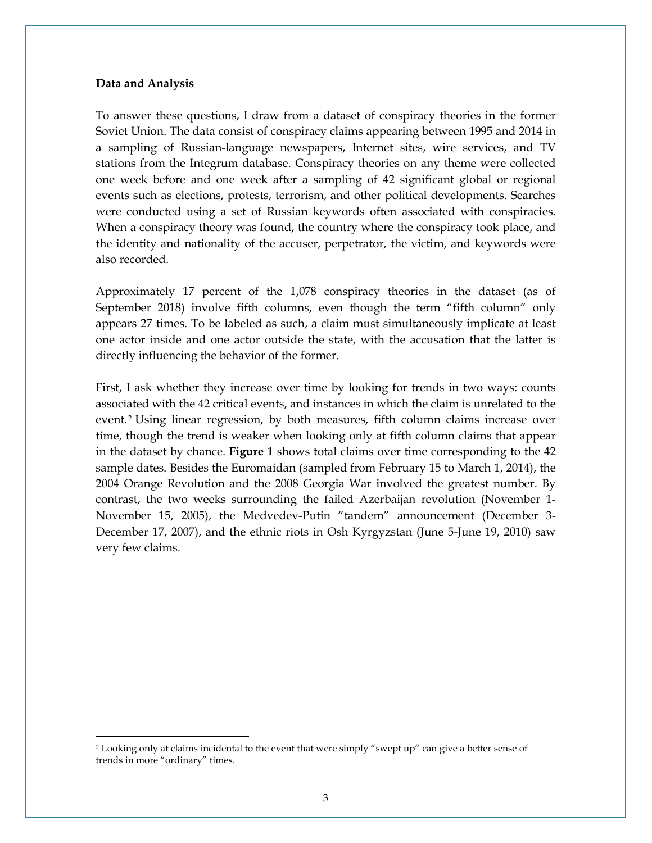#### **Data and Analysis**

l

To answer these questions, I draw from a dataset of conspiracy theories in the former Soviet Union. The data consist of conspiracy claims appearing between 1995 and 2014 in a sampling of Russian-language newspapers, Internet sites, wire services, and TV stations from the Integrum database. Conspiracy theories on any theme were collected one week before and one week after a sampling of 42 significant global or regional events such as elections, protests, terrorism, and other political developments. Searches were conducted using a set of Russian keywords often associated with conspiracies. When a conspiracy theory was found, the country where the conspiracy took place, and the identity and nationality of the accuser, perpetrator, the victim, and keywords were also recorded.

Approximately 17 percent of the 1,078 conspiracy theories in the dataset (as of September 2018) involve fifth columns, even though the term "fifth column" only appears 27 times. To be labeled as such, a claim must simultaneously implicate at least one actor inside and one actor outside the state, with the accusation that the latter is directly influencing the behavior of the former.

First, I ask whether they increase over time by looking for trends in two ways: counts associated with the 42 critical events, and instances in which the claim is unrelated to the event.[2](#page-2-0) Using linear regression, by both measures, fifth column claims increase over time, though the trend is weaker when looking only at fifth column claims that appear in the dataset by chance. **Figure 1** shows total claims over time corresponding to the 42 sample dates. Besides the Euromaidan (sampled from February 15 to March 1, 2014), the 2004 Orange Revolution and the 2008 Georgia War involved the greatest number. By contrast, the two weeks surrounding the failed Azerbaijan revolution (November 1- November 15, 2005), the Medvedev-Putin "tandem" announcement (December 3- December 17, 2007), and the ethnic riots in Osh Kyrgyzstan (June 5-June 19, 2010) saw very few claims.

<span id="page-2-0"></span><sup>2</sup> Looking only at claims incidental to the event that were simply "swept up" can give a better sense of trends in more "ordinary" times.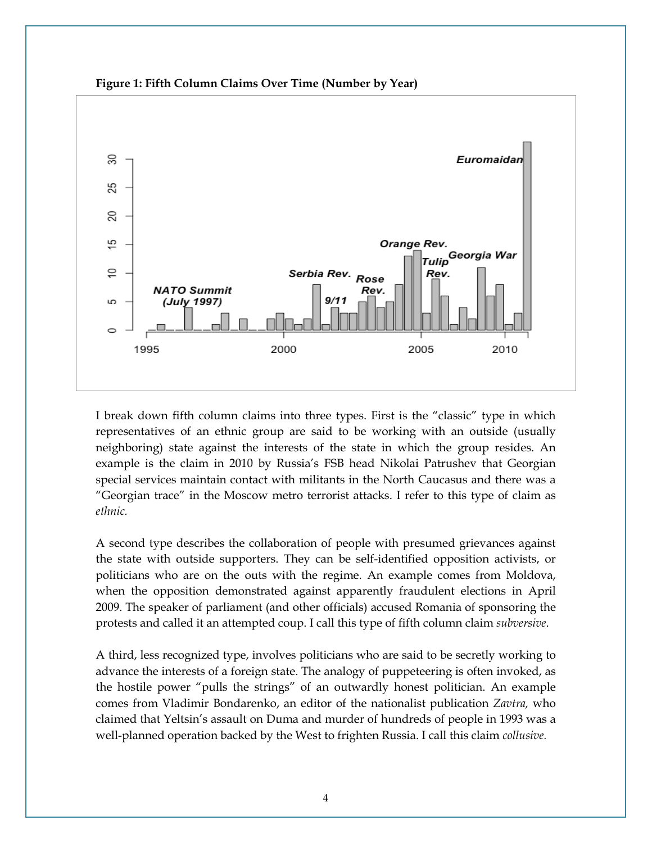

**Figure 1: Fifth Column Claims Over Time (Number by Year)**

I break down fifth column claims into three types. First is the "classic" type in which representatives of an ethnic group are said to be working with an outside (usually neighboring) state against the interests of the state in which the group resides. An example is the claim in 2010 by Russia's FSB head Nikolai Patrushev that Georgian special services maintain contact with militants in the North Caucasus and there was a "Georgian trace" in the Moscow metro terrorist attacks. I refer to this type of claim as *ethnic.*

A second type describes the collaboration of people with presumed grievances against the state with outside supporters. They can be self-identified opposition activists, or politicians who are on the outs with the regime. An example comes from Moldova, when the opposition demonstrated against apparently fraudulent elections in April 2009. The speaker of parliament (and other officials) accused Romania of sponsoring the protests and called it an attempted coup. I call this type of fifth column claim *subversive*.

A third, less recognized type, involves politicians who are said to be secretly working to advance the interests of a foreign state. The analogy of puppeteering is often invoked, as the hostile power "pulls the strings" of an outwardly honest politician. An example comes from Vladimir Bondarenko, an editor of the nationalist publication *Zavtra,* who claimed that Yeltsin's assault on Duma and murder of hundreds of people in 1993 was a well-planned operation backed by the West to frighten Russia. I call this claim *collusive.*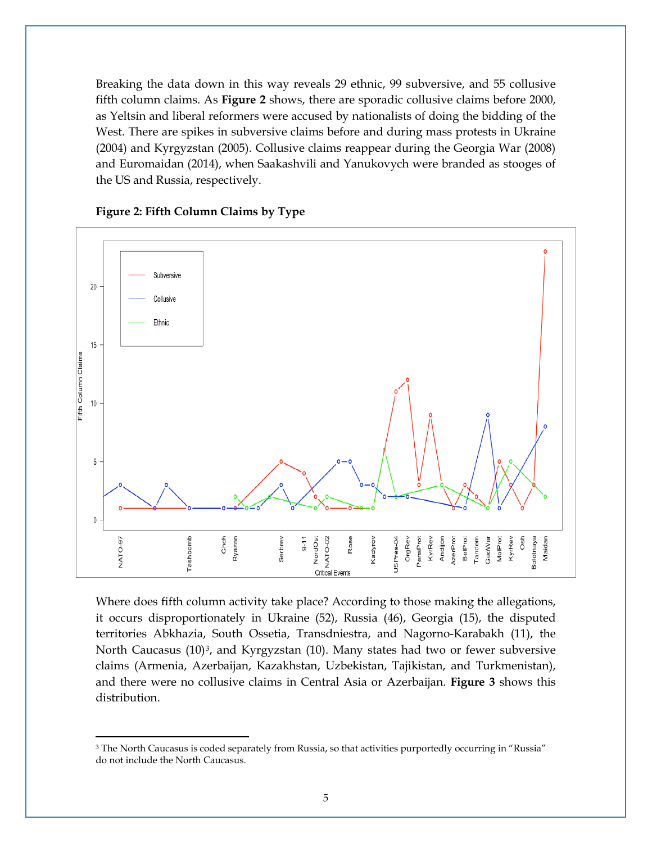Breaking the data down in this way reveals 29 ethnic, 99 subversive, and 55 collusive fifth column claims. As **Figure 2** shows, there are sporadic collusive claims before 2000, as Yeltsin and liberal reformers were accused by nationalists of doing the bidding of the West. There are spikes in subversive claims before and during mass protests in Ukraine (2004) and Kyrgyzstan (2005). Collusive claims reappear during the Georgia War (2008) and Euromaidan (2014), when Saakashvili and Yanukovych were branded as stooges of the US and Russia, respectively.



### **Figure 2: Fifth Column Claims by Type**

l

Where does fifth column activity take place? According to those making the allegations, it occurs disproportionately in Ukraine (52), Russia (46), Georgia (15), the disputed territories Abkhazia, South Ossetia, Transdniestra, and Nagorno-Karabakh (11), the North Caucasus  $(10)^3$ , and Kyrgyzstan  $(10)$ . Many states had two or fewer subversive claims (Armenia, Azerbaijan, Kazakhstan, Uzbekistan, Tajikistan, and Turkmenistan), and there were no collusive claims in Central Asia or Azerbaijan. **Figure 3** shows this distribution.

<span id="page-4-0"></span><sup>&</sup>lt;sup>3</sup> The North Caucasus is coded separately from Russia, so that activities purportedly occurring in "Russia" do not include the North Caucasus.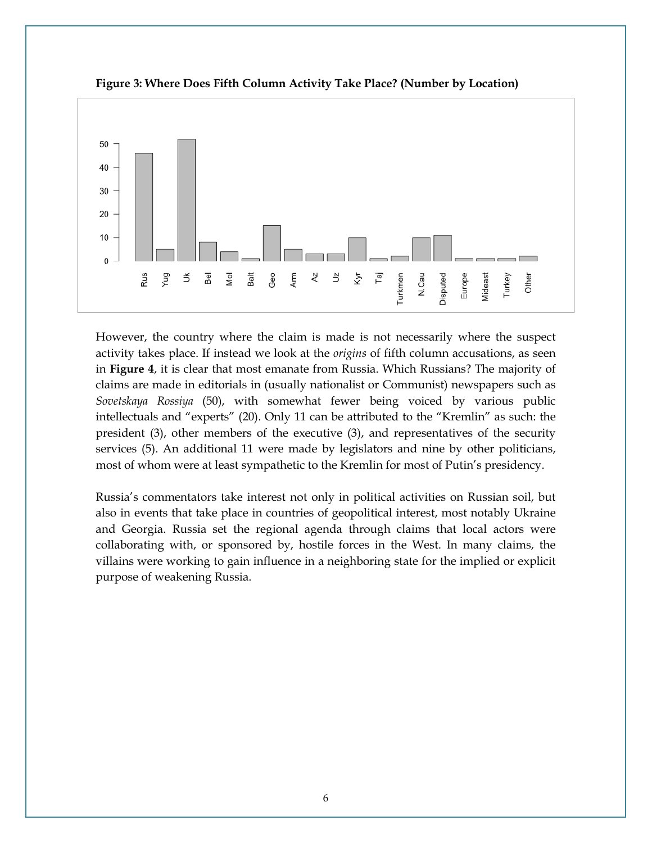

**Figure 3: Where Does Fifth Column Activity Take Place? (Number by Location)**

However, the country where the claim is made is not necessarily where the suspect activity takes place. If instead we look at the *origins* of fifth column accusations, as seen in **Figure 4**, it is clear that most emanate from Russia. Which Russians? The majority of claims are made in editorials in (usually nationalist or Communist) newspapers such as *Sovetskaya Rossiya* (50), with somewhat fewer being voiced by various public intellectuals and "experts" (20). Only 11 can be attributed to the "Kremlin" as such: the president (3), other members of the executive (3), and representatives of the security services (5). An additional 11 were made by legislators and nine by other politicians, most of whom were at least sympathetic to the Kremlin for most of Putin's presidency.

Russia's commentators take interest not only in political activities on Russian soil, but also in events that take place in countries of geopolitical interest, most notably Ukraine and Georgia. Russia set the regional agenda through claims that local actors were collaborating with, or sponsored by, hostile forces in the West. In many claims, the villains were working to gain influence in a neighboring state for the implied or explicit purpose of weakening Russia.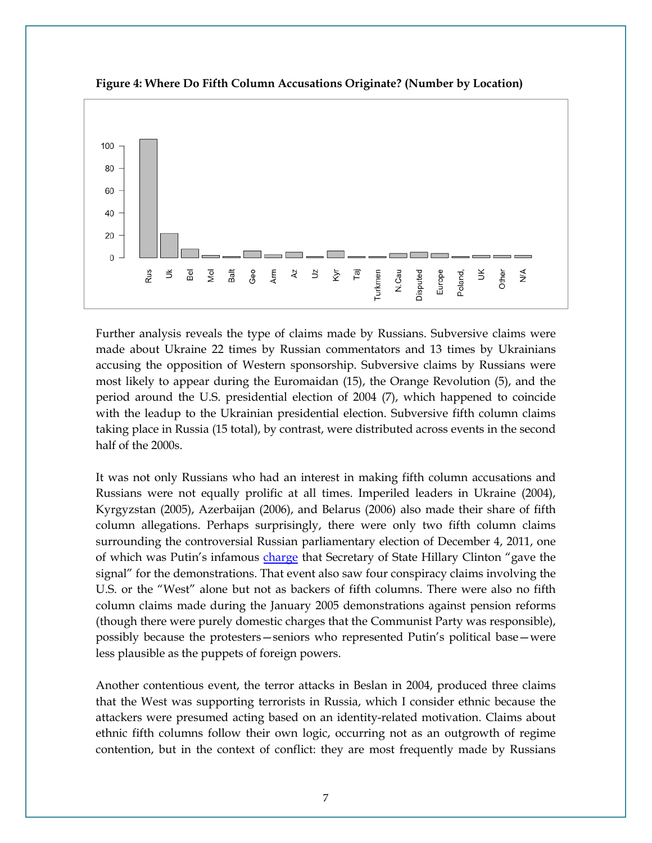

**Figure 4: Where Do Fifth Column Accusations Originate? (Number by Location)**

Further analysis reveals the type of claims made by Russians. Subversive claims were made about Ukraine 22 times by Russian commentators and 13 times by Ukrainians accusing the opposition of Western sponsorship. Subversive claims by Russians were most likely to appear during the Euromaidan (15), the Orange Revolution (5), and the period around the U.S. presidential election of 2004 (7), which happened to coincide with the leadup to the Ukrainian presidential election. Subversive fifth column claims taking place in Russia (15 total), by contrast, were distributed across events in the second half of the 2000s.

It was not only Russians who had an interest in making fifth column accusations and Russians were not equally prolific at all times. Imperiled leaders in Ukraine (2004), Kyrgyzstan (2005), Azerbaijan (2006), and Belarus (2006) also made their share of fifth column allegations. Perhaps surprisingly, there were only two fifth column claims surrounding the controversial Russian parliamentary election of December 4, 2011, one of which was Putin's infamous [charge](http://time.com/4422723/putin-russia-hillary-clinton/) that Secretary of State Hillary Clinton "gave the signal" for the demonstrations. That event also saw four conspiracy claims involving the U.S. or the "West" alone but not as backers of fifth columns. There were also no fifth column claims made during the January 2005 demonstrations against pension reforms (though there were purely domestic charges that the Communist Party was responsible), possibly because the protesters—seniors who represented Putin's political base—were less plausible as the puppets of foreign powers.

Another contentious event, the terror attacks in Beslan in 2004, produced three claims that the West was supporting terrorists in Russia, which I consider ethnic because the attackers were presumed acting based on an identity-related motivation. Claims about ethnic fifth columns follow their own logic, occurring not as an outgrowth of regime contention, but in the context of conflict: they are most frequently made by Russians